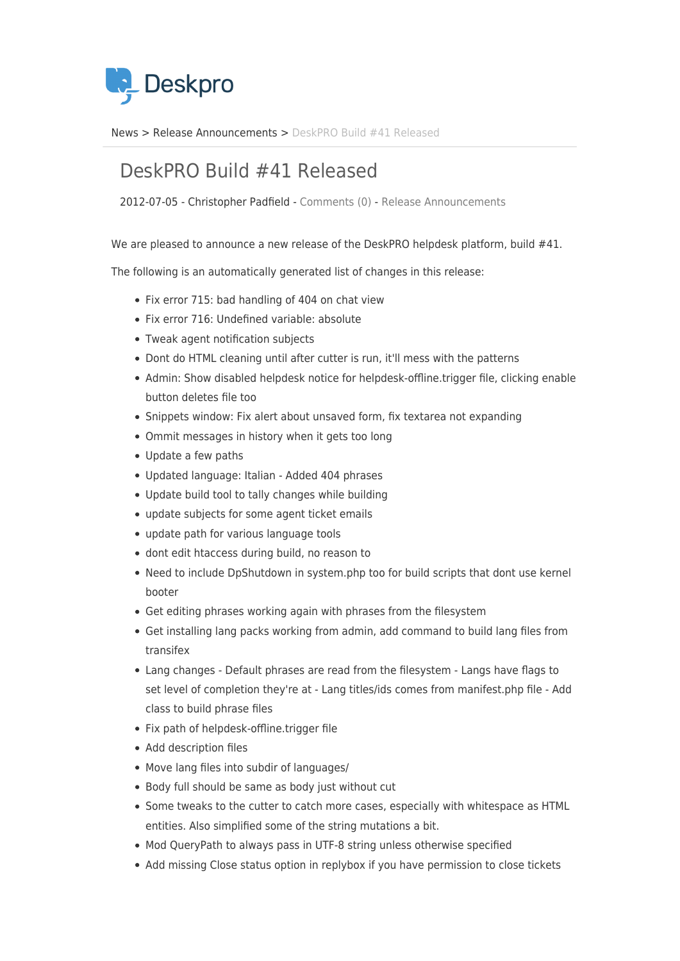

[News](https://support.deskpro.com/sv/news) > [Release Announcements](https://support.deskpro.com/sv/news/release-announcements) > [DeskPRO Build #41 Released](https://support.deskpro.com/sv/news/posts/deskpro-build-41-released)

## DeskPRO Build #41 Released

2012-07-05 - Christopher Padfield - [Comments \(0\)](#page--1-0) - [Release Announcements](https://support.deskpro.com/sv/news/release-announcements)

We are pleased to announce a new release of the DeskPRO helpdesk platform, build #41.

The following is an automatically generated list of changes in this release:

- Fix error 715: bad handling of 404 on chat view
- Fix error 716: Undefined variable: absolute
- Tweak agent notification subjects
- Dont do HTML cleaning until after cutter is run, it'll mess with the patterns
- Admin: Show disabled helpdesk notice for helpdesk-offline.trigger file, clicking enable button deletes file too
- Snippets window: Fix alert about unsaved form, fix textarea not expanding
- Ommit messages in history when it gets too long
- Update a few paths
- Updated language: Italian Added 404 phrases
- Update build tool to tally changes while building
- update subjects for some agent ticket emails
- update path for various language tools
- dont edit htaccess during build, no reason to
- Need to include DpShutdown in system.php too for build scripts that dont use kernel booter
- Get editing phrases working again with phrases from the filesystem
- Get installing lang packs working from admin, add command to build lang files from transifex
- Lang changes Default phrases are read from the filesystem Langs have flags to set level of completion they're at - Lang titles/ids comes from manifest.php file - Add class to build phrase files
- Fix path of helpdesk-offline.trigger file
- Add description files
- Move lang files into subdir of languages/
- Body full should be same as body just without cut
- Some tweaks to the cutter to catch more cases, especially with whitespace as HTML entities. Also simplified some of the string mutations a bit.
- Mod QueryPath to always pass in UTF-8 string unless otherwise specified
- Add missing Close status option in replybox if you have permission to close tickets